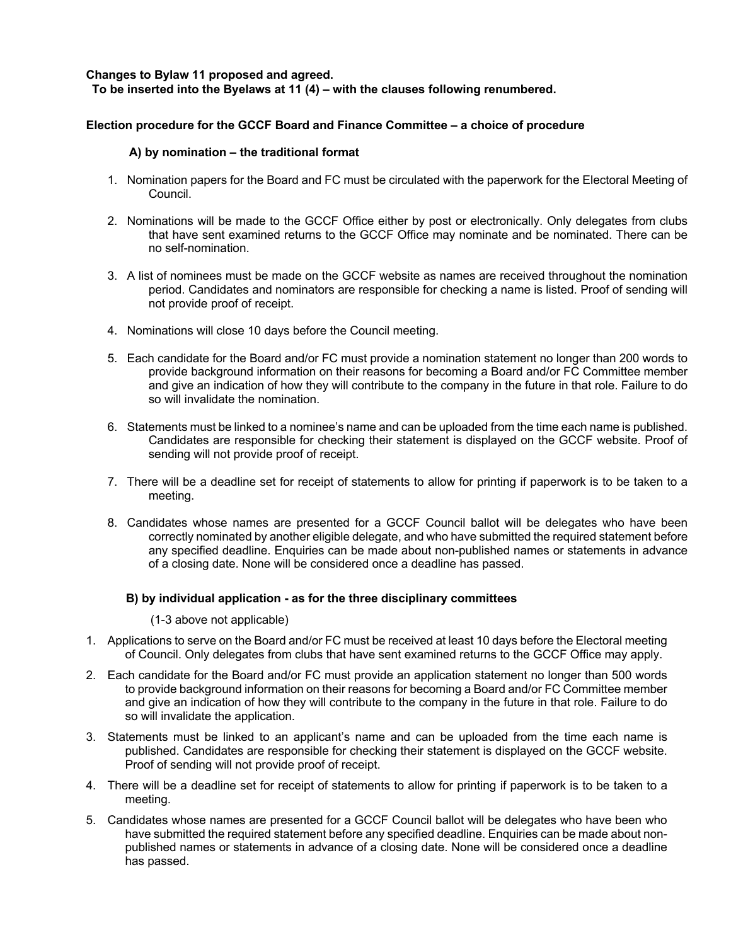### **Changes to Bylaw 11 proposed and agreed. To be inserted into the Byelaws at 11 (4) – with the clauses following renumbered.**

# **Election procedure for the GCCF Board and Finance Committee – a choice of procedure**

#### **A) by nomination – the traditional format**

- 1. Nomination papers for the Board and FC must be circulated with the paperwork for the Electoral Meeting of Council.
- 2. Nominations will be made to the GCCF Office either by post or electronically. Only delegates from clubs that have sent examined returns to the GCCF Office may nominate and be nominated. There can be no self-nomination.
- 3. A list of nominees must be made on the GCCF website as names are received throughout the nomination period. Candidates and nominators are responsible for checking a name is listed. Proof of sending will not provide proof of receipt.
- 4. Nominations will close 10 days before the Council meeting.
- 5. Each candidate for the Board and/or FC must provide a nomination statement no longer than 200 words to provide background information on their reasons for becoming a Board and/or FC Committee member and give an indication of how they will contribute to the company in the future in that role. Failure to do so will invalidate the nomination.
- 6. Statements must be linked to a nominee's name and can be uploaded from the time each name is published. Candidates are responsible for checking their statement is displayed on the GCCF website. Proof of sending will not provide proof of receipt.
- 7. There will be a deadline set for receipt of statements to allow for printing if paperwork is to be taken to a meeting.
- 8. Candidates whose names are presented for a GCCF Council ballot will be delegates who have been correctly nominated by another eligible delegate, and who have submitted the required statement before any specified deadline. Enquiries can be made about non-published names or statements in advance of a closing date. None will be considered once a deadline has passed.

#### **B) by individual application - as for the three disciplinary committees**

(1-3 above not applicable)

- 1. Applications to serve on the Board and/or FC must be received at least 10 days before the Electoral meeting of Council. Only delegates from clubs that have sent examined returns to the GCCF Office may apply.
- 2. Each candidate for the Board and/or FC must provide an application statement no longer than 500 words to provide background information on their reasons for becoming a Board and/or FC Committee member and give an indication of how they will contribute to the company in the future in that role. Failure to do so will invalidate the application.
- 3. Statements must be linked to an applicant's name and can be uploaded from the time each name is published. Candidates are responsible for checking their statement is displayed on the GCCF website. Proof of sending will not provide proof of receipt.
- 4. There will be a deadline set for receipt of statements to allow for printing if paperwork is to be taken to a meeting.
- 5. Candidates whose names are presented for a GCCF Council ballot will be delegates who have been who have submitted the required statement before any specified deadline. Enquiries can be made about nonpublished names or statements in advance of a closing date. None will be considered once a deadline has passed.